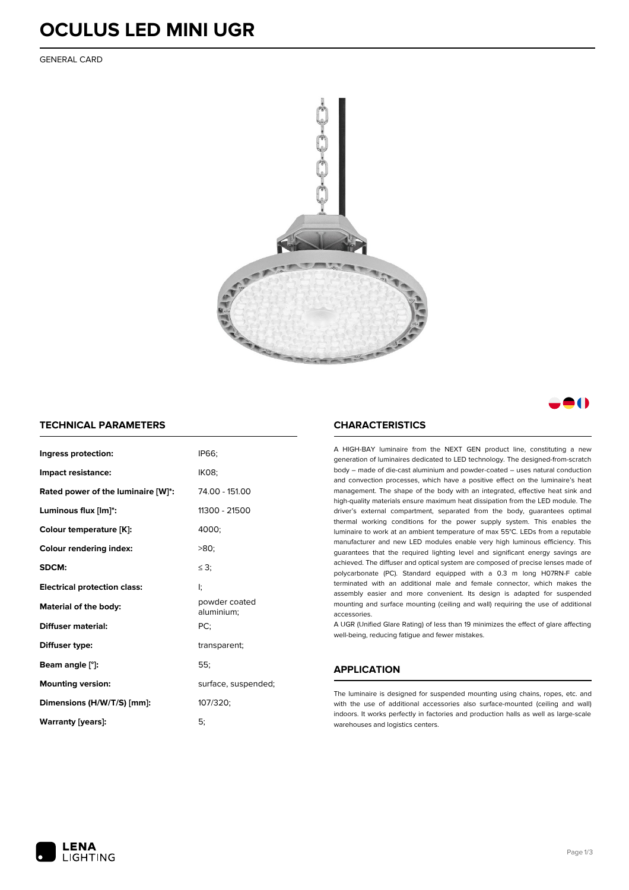### **OCULUS LED MINI UGR**

GENERAL CARD





### **TECHNICAL PARAMETERS**

| Ingress protection:                 | IP66:                       |  |  |
|-------------------------------------|-----------------------------|--|--|
| Impact resistance:                  | <b>IK08:</b>                |  |  |
| Rated power of the luminaire [W]*:  | 74.00 - 151.00              |  |  |
| Luminous flux [lm]*:                | 11300 - 21500               |  |  |
| Colour temperature [K]:             | 4000:                       |  |  |
| <b>Colour rendering index:</b>      | $>80$ :                     |  |  |
| SDCM:                               | $\leq$ 3:                   |  |  |
| <b>Electrical protection class:</b> | ŀ.                          |  |  |
| <b>Material of the body:</b>        | powder coated<br>aluminium; |  |  |
| Diffuser material:                  | PC:                         |  |  |
| Diffuser type:                      | transparent;                |  |  |
| Beam angle [°]:                     | 55:                         |  |  |
| <b>Mounting version:</b>            | surface, suspended;         |  |  |
| Dimensions (H/W/T/S) [mm]:          | 107/320;                    |  |  |
| <b>Warranty [years]:</b>            | 5:                          |  |  |

### **CHARACTERISTICS**

A HIGH-BAY luminaire from the NEXT GEN product line, constituting a new generation of luminaires dedicated to LED technology. The designed-from-scratch body – made of die-cast aluminium and powder-coated – uses natural conduction and convection processes, which have a positive effect on the luminaire's heat management. The shape of the body with an integrated, effective heat sink and high-quality materials ensure maximum heat dissipation from the LED module. The driver's external compartment, separated from the body, guarantees optimal thermal working conditions for the power supply system. This enables the luminaire to work at an ambient temperature of max 55°C. LEDs from a reputable manufacturer and new LED modules enable very high luminous efficiency. This guarantees that the required lighting level and significant energy savings are achieved. The diffuser and optical system are composed of precise lenses made of polycarbonate (PC). Standard equipped with a 0.3 m long H07RN-F cable terminated with an additional male and female connector, which makes the assembly easier and more convenient. Its design is adapted for suspended mounting and surface mounting (ceiling and wall) requiring the use of additional accessories.

A UGR (Unified Glare Rating) of less than 19 minimizes the effect of glare affecting well-being, reducing fatigue and fewer mistakes.

### **APPLICATION**

The luminaire is designed for suspended mounting using chains, ropes, etc. and with the use of additional accessories also surface-mounted (ceiling and wall) indoors. It works perfectly in factories and production halls as well as large-scale warehouses and logistics centers.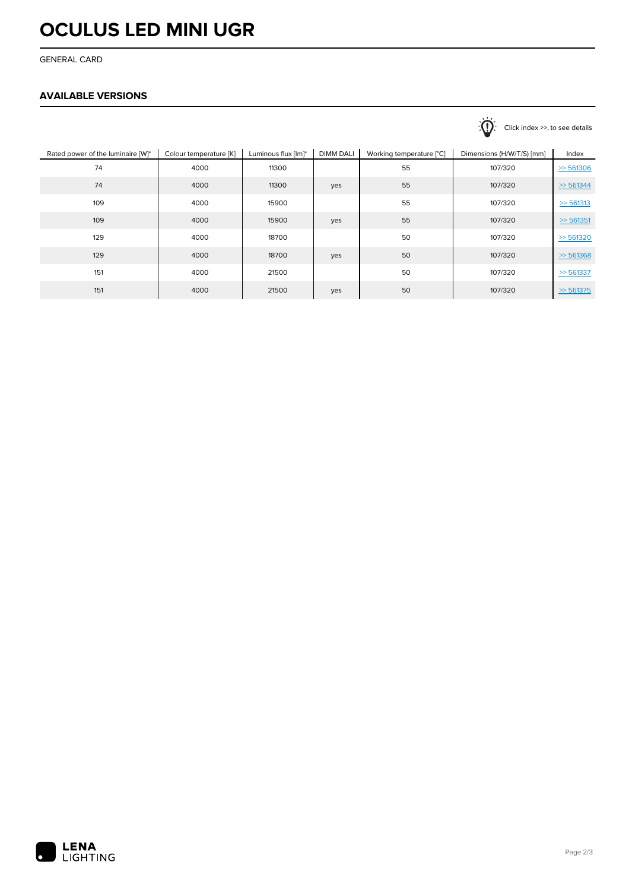## **OCULUS LED MINI UGR**

GENERAL CARD

### **AVAILABLE VERSIONS**

|                                   |                        |                     |                  |                          | $\sqrt{1}$<br>Click index >>, to see details |              |
|-----------------------------------|------------------------|---------------------|------------------|--------------------------|----------------------------------------------|--------------|
| Rated power of the luminaire [W]* | Colour temperature [K] | Luminous flux [lm]* | <b>DIMM DALI</b> | Working temperature [°C] | Dimensions (H/W/T/S) [mm]                    | Index        |
| 74                                | 4000                   | 11300               |                  | 55                       | 107/320                                      | $\gg$ 561306 |
| 74                                | 4000                   | 11300               | yes              | 55                       | 107/320                                      | $\gg$ 561344 |
| 109                               | 4000                   | 15900               |                  | 55                       | 107/320                                      | $\ge 561313$ |
| 109                               | 4000                   | 15900               | yes              | 55                       | 107/320                                      | > 561351     |
| 129                               | 4000                   | 18700               |                  | 50                       | 107/320                                      | $\gg$ 561320 |
| 129                               | 4000                   | 18700               | yes              | 50                       | 107/320                                      | $\gg$ 561368 |
| 151                               | 4000                   | 21500               |                  | 50                       | 107/320                                      | $\gg$ 561337 |
| 151                               | 4000                   | 21500               | yes              | 50                       | 107/320                                      | $\gg$ 561375 |
|                                   |                        |                     |                  |                          |                                              |              |